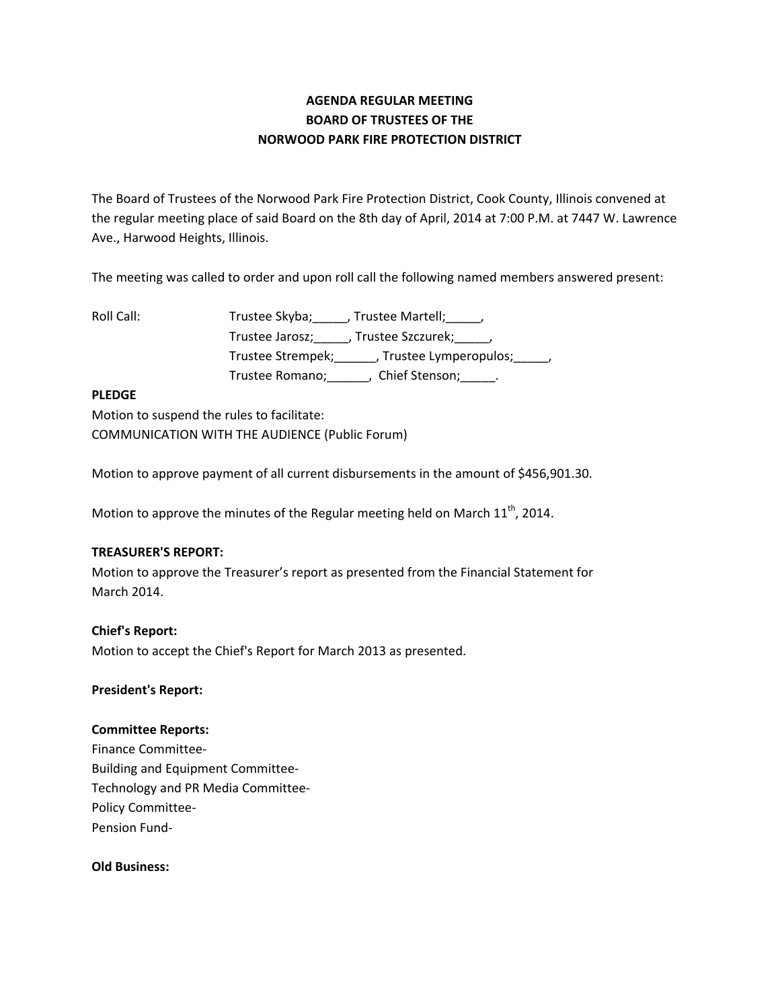# **AGENDA REGULAR MEETING BOARD OF TRUSTEES OF THE NORWOOD PARK FIRE PROTECTION DISTRICT**

The Board of Trustees of the Norwood Park Fire Protection District, Cook County, Illinois convened at the regular meeting place of said Board on the 8th day of April, 2014 at 7:00 P.M. at 7447 W. Lawrence Ave., Harwood Heights, Illinois.

The meeting was called to order and upon roll call the following named members answered present:

Roll Call: Trustee Skyba; \_\_\_\_, Trustee Martell; \_\_\_\_, Trustee Jarosz;\_\_\_\_\_, Trustee Szczurek;\_\_\_\_\_, Trustee Strempek;\_\_\_\_\_\_, Trustee Lymperopulos;\_\_\_\_\_, Trustee Romano; \_\_\_\_\_\_, Chief Stenson; \_\_\_\_\_.

## **PLEDGE**

Motion to suspend the rules to facilitate: COMMUNICATION WITH THE AUDIENCE (Public Forum)

Motion to approve payment of all current disbursements in the amount of \$456,901.30.

Motion to approve the minutes of the Regular meeting held on March  $11^{\text{th}}$ , 2014.

## **TREASURER'S REPORT:**

Motion to approve the Treasurer's report as presented from the Financial Statement for March 2014.

# **Chief's Report:**

Motion to accept the Chief's Report for March 2013 as presented.

## **President's Report:**

## **Committee Reports:**

Finance Committee‐ Building and Equipment Committee‐ Technology and PR Media Committee‐ Policy Committee‐ Pension Fund‐

**Old Business:**